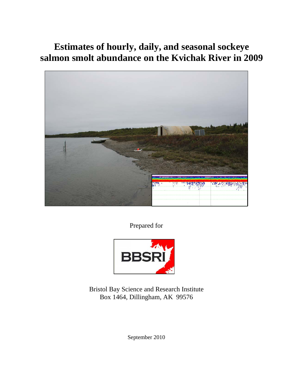# **Estimates of hourly, daily, and seasonal sockeye salmon smolt abundance on the Kvichak River in 2009**



Prepared for



Bristol Bay Science and Research Institute Box 1464, Dillingham, AK 99576

September 2010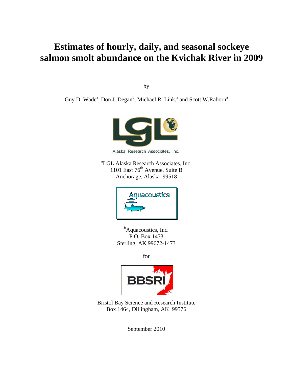## **Estimates of hourly, daily, and seasonal sockeye salmon smolt abundance on the Kvichak River in 2009**

by

Guy D. Wade<sup>a</sup>, Don J. Degan<sup>b</sup>, Michael R. Link,<sup>a</sup> and Scott W.Raborn<sup>a</sup>



Alaska Research Associates, Inc.

a LGL Alaska Research Associates, Inc. 1101 East  $76<sup>th</sup>$  Avenue, Suite B Anchorage, Alaska 99518



<sup>b</sup>Aquacoustics, Inc. P.O. Box 1473 Sterling, AK 99672-1473

for



Bristol Bay Science and Research Institute Box 1464, Dillingham, AK 99576

September 2010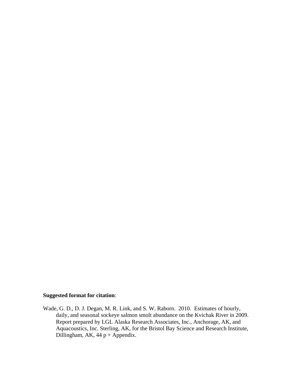#### **Suggested format for citation**:

Wade, G. D., D. J. Degan, M. R. Link, and S. W. Raborn. 2010. Estimates of hourly, daily, and seasonal sockeye salmon smolt abundance on the Kvichak River in 2009. Report prepared by LGL Alaska Research Associates, Inc., Anchorage, AK, and Aquacoustics, Inc. Sterling, AK, for the Bristol Bay Science and Research Institute, Dillingham, AK,  $44 p + Appendix$ .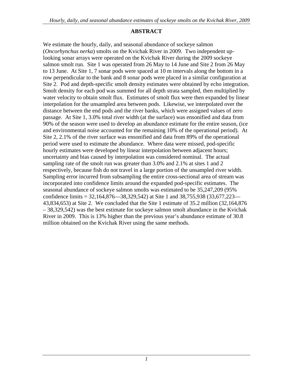#### **ABSTRACT**

We estimate the hourly, daily, and seasonal abundance of sockeye salmon (*Oncorhynchus nerka*) smolts on the Kvichak River in 2009. Two independent uplooking sonar arrays were operated on the Kvichak River during the 2009 sockeye salmon smolt run. Site 1 was operated from 26 May to 14 June and Site 2 from 26 May to 13 June. At Site 1, 7 sonar pods were spaced at 10 m intervals along the bottom in a row perpendicular to the bank and 8 sonar pods were placed in a similar configuration at Site 2. Pod and depth-specific smolt density estimates were obtained by echo integration. Smolt density for each pod was summed for all depth strata sampled, then multiplied by water velocity to obtain smolt flux. Estimates of smolt flux were then expanded by linear interpolation for the unsampled area between pods. Likewise, we interpolated over the distance between the end pods and the river banks, which were assigned values of zero passage. At Site 1, 3.0% total river width (at the surface) was ensonified and data from 90% of the season were used to develop an abundance estimate for the entire season, (ice and environmental noise accounted for the remaining 10% of the operational period). At Site 2, 2.1% of the river surface was ensonified and data from 89% of the operational period were used to estimate the abundance. Where data were missed, pod-specific hourly estimates were developed by linear interpolation between adjacent hours; uncertainty and bias caused by interpolation was considered nominal. The actual sampling rate of the smolt run was greater than 3.0% and 2.1% at sites 1 and 2 respectively, because fish do not travel in a large portion of the unsampled river width. Sampling error incurred from subsampling the entire cross-sectional area of stream was incorporated into confidence limits around the expanded pod-specific estimates. The seasonal abundance of sockeye salmon smolts was estimated to be 35,247,209 (95% confidence limits = 32,164,876—38,329,542) at Site 1 and 38,755,938 (33,677,223— 43,834,653) at Site 2. We concluded that the Site 1 estimate of 35.2 million (32,164,876 – 38,329,542) was the best estimate for sockeye salmon smolt abundance in the Kvichak River in 2009. This is 13% higher than the previous year's abundance estimate of 30.8 million obtained on the Kvichak River using the same methods.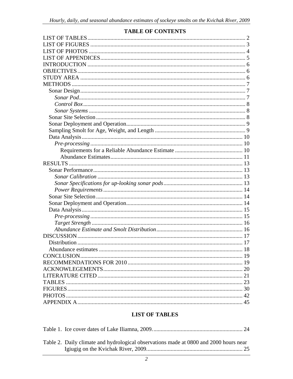<span id="page-5-0"></span>

## **TABLE OF CONTENTS**

## **LIST OF TABLES**

| Table 2. Daily climate and hydrological observations made at 0800 and 2000 hours near |  |
|---------------------------------------------------------------------------------------|--|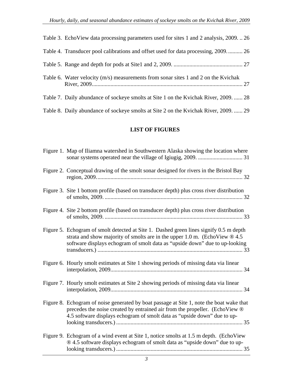<span id="page-6-0"></span>

| Table 3. EchoView data processing parameters used for sites 1 and 2 analysis, 200926 |  |
|--------------------------------------------------------------------------------------|--|
| Table 4. Transducer pool calibrations and offset used for data processing, 2009 26   |  |
|                                                                                      |  |
| Table 6. Water velocity (m/s) measurements from sonar sites 1 and 2 on the Kvichak   |  |
| Table 7. Daily abundance of sockeye smolts at Site 1 on the Kvichak River, 2009.  28 |  |
| Table 8. Daily abundance of sockeye smolts at Site 2 on the Kvichak River, 2009.  29 |  |

#### **LIST OF FIGURES**

| Figure 1. Map of Iliamna watershed in Southwestern Alaska showing the location where                                                                                                                                                                  |
|-------------------------------------------------------------------------------------------------------------------------------------------------------------------------------------------------------------------------------------------------------|
| Figure 2. Conceptual drawing of the smolt sonar designed for rivers in the Bristol Bay                                                                                                                                                                |
| Figure 3. Site 1 bottom profile (based on transducer depth) plus cross river distribution                                                                                                                                                             |
| Figure 4. Site 2 bottom profile (based on transducer depth) plus cross river distribution                                                                                                                                                             |
| Figure 5. Echogram of smolt detected at Site 1. Dashed green lines signify 0.5 m depth<br>strata and show majority of smolts are in the upper 1.0 m. (EchoView $@$ 4.5<br>software displays echogram of smolt data as "upside down" due to up-looking |
| Figure 6. Hourly smolt estimates at Site 1 showing periods of missing data via linear                                                                                                                                                                 |
| Figure 7. Hourly smolt estimates at Site 2 showing periods of missing data via linear                                                                                                                                                                 |
| Figure 8. Echogram of noise generated by boat passage at Site 1, note the boat wake that<br>precedes the noise created by entrained air from the propeller. (EchoView ®<br>4.5 software displays echogram of smolt data as "upside down" due to up-   |
| Figure 9. Echogram of a wind event at Site 1, notice smolts at 1.5 m depth. (EchoView<br>® 4.5 software displays echogram of smolt data as "upside down" due to up-                                                                                   |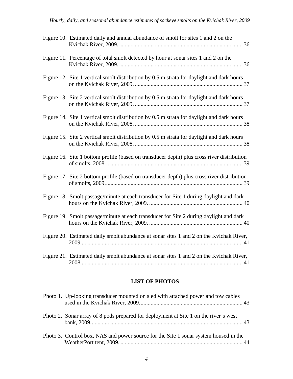<span id="page-7-0"></span>

| Figure 10. Estimated daily and annual abundance of smolt for sites 1 and 2 on the          |
|--------------------------------------------------------------------------------------------|
| Figure 11. Percentage of total smolt detected by hour at sonar sites 1 and 2 on the        |
| Figure 12. Site 1 vertical smolt distribution by 0.5 m strata for daylight and dark hours  |
| Figure 13. Site 2 vertical smolt distribution by 0.5 m strata for daylight and dark hours  |
| Figure 14. Site 1 vertical smolt distribution by 0.5 m strata for daylight and dark hours  |
| Figure 15. Site 2 vertical smolt distribution by 0.5 m strata for daylight and dark hours  |
| Figure 16. Site 1 bottom profile (based on transducer depth) plus cross river distribution |
| Figure 17. Site 2 bottom profile (based on transducer depth) plus cross river distribution |
| Figure 18. Smolt passage/minute at each transducer for Site 1 during daylight and dark     |
| Figure 19. Smolt passage/minute at each transducer for Site 2 during daylight and dark     |
| Figure 20. Estimated daily smolt abundance at sonar sites 1 and 2 on the Kvichak River,    |
| Figure 21. Estimated daily smolt abundance at sonar sites 1 and 2 on the Kvichak River,    |

#### **LIST OF PHOTOS**

| Photo 1. Up-looking transducer mounted on sled with attached power and tow cables    |  |
|--------------------------------------------------------------------------------------|--|
| Photo 2. Sonar array of 8 pods prepared for deployment at Site 1 on the river's west |  |
| Photo 3. Control box, NAS and power source for the Site 1 sonar system housed in the |  |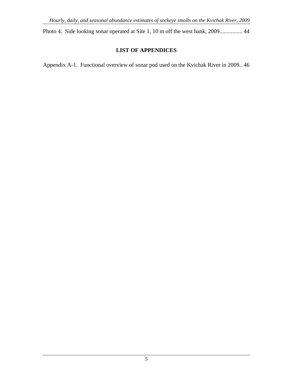<span id="page-8-0"></span>Photo 4. Side looking sonar operated at Site 1, 10 m off the west bank, 2009................ 44

#### **LIST OF APPENDICES**

[Appendix A-1. Functional overview of sonar pod used on the Kvichak River in 2009. . 46](#page-49-0)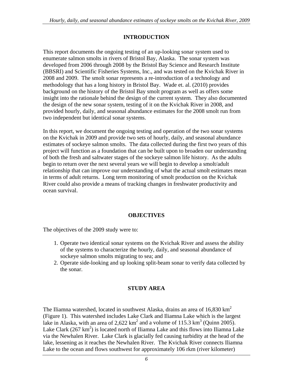#### **INTRODUCTION**

<span id="page-9-0"></span>This report documents the ongoing testing of an up-looking sonar system used to enumerate salmon smolts in rivers of Bristol Bay, Alaska. The sonar system was developed from 2006 through 2008 by the Bristol Bay Science and Research Institute (BBSRI) and Scientific Fisheries Systems, Inc., and was tested on the Kvichak River in 2008 and 2009. The smolt sonar represents a re-introduction of a technology and methodology that has a long history in Bristol Bay. Wade et. al. (2010) provides background on the history of the Bristol Bay smolt program as well as offers some insight into the rationale behind the design of the current system. They also documented the design of the new sonar system, testing of it on the Kvichak River in 2008, and provided hourly, daily, and seasonal abundance estimates for the 2008 smolt run from two independent but identical sonar systems.

In this report, we document the ongoing testing and operation of the two sonar systems on the Kvichak in 2009 and provide two sets of hourly, daily, and seasonal abundance estimates of sockeye salmon smolts. The data collected during the first two years of this project will function as a foundation that can be built upon to broaden our understanding of both the fresh and saltwater stages of the sockeye salmon life history. As the adults begin to return over the next several years we will begin to develop a smolt/adult relationship that can improve our understanding of what the actual smolt estimates mean in terms of adult returns. Long term monitoring of smolt production on the Kvichak River could also provide a means of tracking changes in freshwater productivity and ocean survival.

#### **OBJECTIVES**

The objectives of the 2009 study were to:

- 1. Operate two identical sonar systems on the Kvichak River and assess the ability of the systems to characterize the hourly, daily, and seasonal abundance of sockeye salmon smolts migrating to sea; and
- 2. Operate side-looking and up looking split-beam sonar to verify data collected by the sonar.

#### **STUDY AREA**

The Iliamna watershed, located in southwest Alaska, drains an area of  $16,830 \text{ km}^2$ (Figure 1). This watershed includes Lake Clark and Iliamna Lake which is the largest lake in Alaska, with an area of 2,622 km<sup>2</sup> and a volume of 115.3 km<sup>3</sup> (Quinn 2005). Lake Clark (267 km<sup>2</sup>) is located north of Iliamna Lake and this flows into Iliamna Lake via the Newhalen River. Lake Clark is glacially fed causing turbidity at the head of the lake, lessening as it reaches the Newhalen River. The Kvichak River connects Iliamna Lake to the ocean and flows southwest for approximately 106 rkm (river kilometer)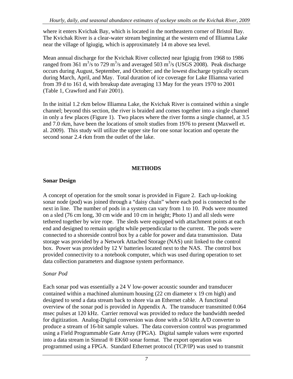<span id="page-10-0"></span>where it enters Kvichak Bay, which is located in the northeastern corner of Bristol Bay. The Kvichak River is a clear-water stream beginning at the western end of Illiamna Lake near the village of Igiugig, which is approximately 14 m above sea level.

Mean annual discharge for the Kvichak River collected near Igiugig from 1968 to 1986 ranged from 361 m<sup>3</sup>/s to 729 m<sup>3</sup>/s and averaged 503 m<sup>3</sup>/s (USGS 2008). Peak discharge occurs during August, September, and October; and the lowest discharge typically occurs during March, April, and May. Total duration of ice coverage for Lake Illiamna varied from 39 d to 161 d, with breakup date averaging 13 May for the years 1970 to 2001 (Table 1, Crawford and Fair 2001).

In the initial 1.2 rkm below Illiamna Lake, the Kvichak River is contained within a single channel; beyond this section, the river is braided and comes together into a single channel in only a few places (Figure 1). Two places where the river forms a single channel, at 3.5 and 7.0 rkm, have been the locations of smolt studies from 1976 to present (Maxwell et. al. 2009). This study will utilize the upper site for one sonar location and operate the second sonar 2.4 rkm from the outlet of the lake.

#### **METHODS**

#### **Sonar Design**

A concept of operation for the smolt sonar is provided in Figure 2. Each up-looking sonar node (pod) was joined through a "daisy chain" where each pod is connected to the next in line. The number of pods in a system can vary from 1 to 10. Pods were mounted on a sled (76 cm long, 30 cm wide and 10 cm in height; Photo 1) and all sleds were tethered together by wire rope. The sleds were equipped with attachment points at each end and designed to remain upright while perpendicular to the current. The pods were connected to a shoreside control box by a cable for power and data transmission. Data storage was provided by a Network Attached Storage (NAS) unit linked to the control box. Power was provided by 12 V batteries located next to the NAS. The control box provided connectivity to a notebook computer, which was used during operation to set data collection parameters and diagnose system performance.

#### *Sonar Pod*

Each sonar pod was essentially a 24 V low-power acoustic sounder and transducer contained within a machined aluminum housing (22 cm diameter x 19 cm high) and designed to send a data stream back to shore via an Ethernet cable. A functional overview of the sonar pod is provided in Appendix A. The transducer transmitted 0.064 msec pulses at 120 kHz. Carrier removal was provided to reduce the bandwidth needed for digitization. Analog-Digital conversion was done with a 50 kHz A/D converter to produce a stream of 16-bit sample values. The data conversion control was programmed using a Field Programmable Gate Array (FPGA). Digital sample values were exported into a data stream in Simrad ® EK60 sonar format. The export operation was programmed using a FPGA. Standard Ethernet protocol (TCP/IP) was used to transmit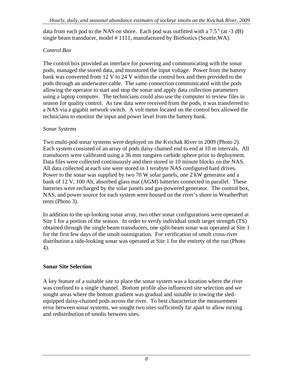<span id="page-11-0"></span>data from each pod to the NAS on shore. Each pod was outfitted with a  $7.5^{\circ}$  (at  $-3$  dB) single beam transducer, model # 1111, manufactured by BioSonics (Seattle,WA).

## *Control Box*

The control box provided an interface for powering and communicating with the sonar pods, managed the stored data, and monitored the input voltage. Power from the battery bank was converted from 12 V to 24 V within the control box and then provided to the pods through an underwater cable. The same connection communicated with the pods allowing the operator to start and stop the sonar and apply data collection parameters using a laptop computer. The technicians could also use the computer to review files in season for quality control. As raw data were received from the pods, it was transferred to a NAS via a gigabit network switch. A volt meter located on the control box allowed the technicians to monitor the input and power level from the battery bank.

#### *Sonar Systems*

Two multi-pod sonar systems were deployed on the Kvichak River in 2009 (Photo 2). Each system consisted of an array of pods daisy chained end to end at 10 m intervals. All transducers were calibrated using a 36 mm tungsten carbide sphere prior to deployment. Data files were collected continuously and then stored in 10 minute blocks on the NAS. All data collected at each site were stored in 1 terabyte NAS configured hard drives. Power to the sonar was supplied by two 70 W solar panels, one 2 kW generator and a bank of 12 V, 100 Ah, absorbed glass mat (AGM) batteries connected in parallel. These batteries were recharged by the solar panels and gas-powered generator. The control box, NAS, and power source for each system were housed on the river's shore in WeatherPort tents (Photo 3).

In addition to the up-looking sonar array, two other sonar configurations were operated at Site 1 for a portion of the season. In order to verify individual smolt target strength (TS) obtained through the single beam transducers, one split-beam sonar was operated at Site 1 for the first few days of the smolt outmigration. For verification of smolt cross-river distribution a side-looking sonar was operated at Site 1 for the entirety of the run (Photo 4).

## **Sonar Site Selection**

A key feature of a suitable site to place the sonar system was a location where the river was confined to a single channel. Bottom profile also influenced site selection and we sought areas where the bottom gradient was gradual and suitable to towing the sledequipped daisy-chained pods across the river. To best characterize the measurement error between sonar systems, we sought two sites sufficiently far apart to allow mixing and redistribution of smolts between sites.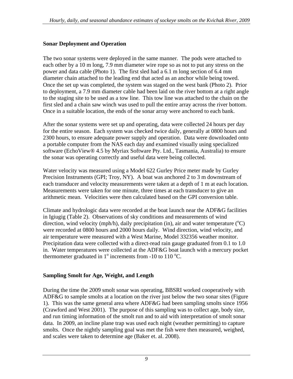#### <span id="page-12-0"></span>**Sonar Deployment and Operation**

The two sonar systems were deployed in the same manner. The pods were attached to each other by a 10 m long, 7.9 mm diameter wire rope so as not to put any stress on the power and data cable (Photo 1). The first sled had a 6.1 m long section of 6.4 mm diameter chain attached to the leading end that acted as an anchor while being towed. Once the set up was completed, the system was staged on the west bank (Photo 2). Prior to deployment, a 7.9 mm diameter cable had been laid on the river bottom at a right angle to the staging site to be used as a tow line. This tow line was attached to the chain on the first sled and a chain saw winch was used to pull the entire array across the river bottom. Once in a suitable location, the ends of the sonar array were anchored to each bank.

After the sonar systems were set up and operating, data were collected 24 hours per day for the entire season. Each system was checked twice daily, generally at 0800 hours and 2300 hours, to ensure adequate power supply and operation. Data were downloaded onto a portable computer from the NAS each day and examined visually using specialized software (EchoView® 4.5 by Myriax Software Pty. Ltd., Tasmania, Australia) to ensure the sonar was operating correctly and useful data were being collected.

Water velocity was measured using a Model 622 Gurley Price meter made by Gurley Precision Instruments (GPI; Troy, NY). A boat was anchored 2 to 3 m downstream of each transducer and velocity measurements were taken at a depth of 1 m at each location. Measurements were taken for one minute, three times at each transducer to give an arithmetic mean. Velocities were then calculated based on the GPI conversion table.

Climate and hydrologic data were recorded at the boat launch near the ADF&G facilities in Igiugig (Table 2). Observations of sky conditions and measurements of wind direction, wind velocity (mph/h), daily precipitation (in), air and water temperature  $({}^{o}C)$ were recorded at 0800 hours and 2000 hours daily. Wind direction, wind velocity, and air temperature were measured with a West Marine, Model 332356 weather monitor. Precipitation data were collected with a direct-read rain gauge graduated from 0.1 to 1.0 in. Water temperatures were collected at the ADF&G boat launch with a mercury pocket thermometer graduated in  $1^{\circ}$  increments from -10 to 110  $^{\circ}$ C.

#### **Sampling Smolt for Age, Weight, and Length**

During the time the 2009 smolt sonar was operating, BBSRI worked cooperatively with ADF&G to sample smolts at a location on the river just below the two sonar sites (Figure 1). This was the same general area where ADF&G had been sampling smolts since 1956 (Crawford and West 2001). The purpose of this sampling was to collect age, body size, and run timing information of the smolt run and to aid with interpretation of smolt sonar data. In 2009, an incline plane trap was used each night (weather permitting) to capture smolts. Once the nightly sampling goal was met the fish were then measured, weighed, and scales were taken to determine age (Baker et. al. 2008).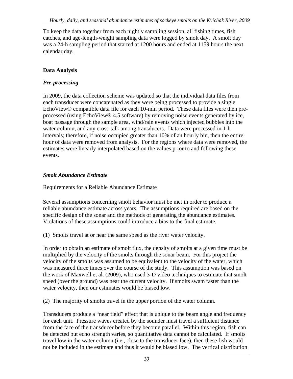<span id="page-13-0"></span>To keep the data together from each nightly sampling session, all fishing times, fish catches, and age-length-weight sampling data were logged by smolt day. A smolt day was a 24-h sampling period that started at 1200 hours and ended at 1159 hours the next calendar day.

#### **Data Analysis**

## *Pre-processing*

In 2009, the data collection scheme was updated so that the individual data files from each transducer were concatenated as they were being processed to provide a single EchoView® compatible data file for each 10-min period. These data files were then preprocessed (using EchoView® 4.5 software) by removing noise events generated by ice, boat passage through the sample area, wind/rain events which injected bubbles into the water column, and any cross-talk among transducers. Data were processed in 1-h intervals; therefore, if noise occupied greater than 10% of an hourly bin, then the entire hour of data were removed from analysis. For the regions where data were removed, the estimates were linearly interpolated based on the values prior to and following these events.

## *Smolt Abundance Estimate*

#### Requirements for a Reliable Abundance Estimate

Several assumptions concerning smolt behavior must be met in order to produce a reliable abundance estimate across years. The assumptions required are based on the specific design of the sonar and the methods of generating the abundance estimates. Violations of these assumptions could introduce a bias to the final estimate.

(1) Smolts travel at or near the same speed as the river water velocity.

In order to obtain an estimate of smolt flux, the density of smolts at a given time must be multiplied by the velocity of the smolts through the sonar beam. For this project the velocity of the smolts was assumed to be equivalent to the velocity of the water, which was measured three times over the course of the study. This assumption was based on the work of Maxwell et al. (2009), who used 3-D video techniques to estimate that smolt speed (over the ground) was near the current velocity. If smolts swam faster than the water velocity, then our estimates would be biased low.

(2) The majority of smolts travel in the upper portion of the water column.

Transducers produce a "near field" effect that is unique to the beam angle and frequency for each unit. Pressure waves created by the sounder must travel a sufficient distance from the face of the transducer before they become parallel. Within this region, fish can be detected but echo strength varies, so quantitative data cannot be calculated. If smolts travel low in the water column (i.e., close to the transducer face), then these fish would not be included in the estimate and thus it would be biased low. The vertical distribution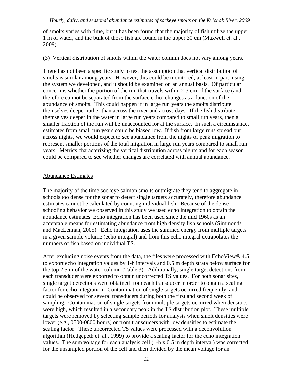<span id="page-14-0"></span>of smolts varies with time, but it has been found that the majority of fish utilize the upper 1 m of water, and the bulk of those fish are found in the upper 30 cm (Maxwell et. al., 2009).

(3) Vertical distribution of smolts within the water column does not vary among years.

There has not been a specific study to test the assumption that vertical distribution of smolts is similar among years. However, this could be monitored, at least in part, using the system we developed, and it should be examined on an annual basis. Of particular concern is whether the portion of the run that travels within 2-3 cm of the surface (and therefore cannot be separated from the surface echo) changes as a function of the abundance of smolts. This could happen if in large run years the smolts distribute themselves deeper rather than across the river and across days. If the fish distribute themselves deeper in the water in large run years compared to small run years, then a smaller fraction of the run will be unaccounted for at the surface. In such a circumstance, estimates from small run years could be biased low. If fish from large runs spread out across nights, we would expect to see abundance from the nights of peak migration to represent smaller portions of the total migration in large run years compared to small run years. Metrics characterizing the vertical distribution across nights and for each season could be compared to see whether changes are correlated with annual abundance.

#### Abundance Estimates

The majority of the time sockeye salmon smolts outmigrate they tend to aggregate in schools too dense for the sonar to detect single targets accurately, therefore abundance estimates cannot be calculated by counting individual fish. Because of the dense schooling behavior we observed in this study we used echo integration to obtain the abundance estimates. Echo integration has been used since the mid 1960s as an acceptable means for estimating abundance from high density fish schools (Simmonds and MacLennan, 2005). Echo integration uses the summed energy from multiple targets in a given sample volume (echo integral) and from this echo integral extrapolates the numbers of fish based on individual TS.

After excluding noise events from the data, the files were processed with EchoView® 4.5 to export echo integration values by 1-h intervals and 0.5 m depth strata below surface for the top 2.5 m of the water column (Table 3). Additionally, single target detections from each transducer were exported to obtain uncorrected TS values. For both sonar sites, single target detections were obtained from each transducer in order to obtain a scaling factor for echo integration. Contamination of single targets occurred frequently, and could be observed for several transducers during both the first and second week of sampling. Contamination of single targets from multiple targets occurred when densities were high, which resulted in a secondary peak in the TS distribution plot. These multiple targets were removed by selecting sample periods for analysis when smolt densities were lower (e.g., 0500-0800 hours) or from transducers with low densities to estimate the scaling factor. These uncorrected TS values were processed with a deconvolution algorithm (Hedgepeth et. al., 1999) to provide a scaling factor for the echo integration values. The sum voltage for each analysis cell (1-h x 0.5 m depth interval) was corrected for the unsampled portion of the cell and then divided by the mean voltage for an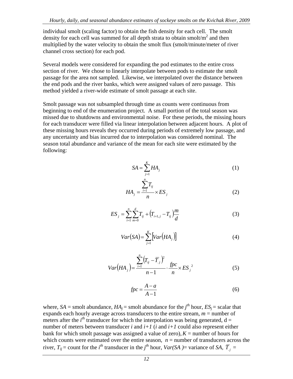individual smolt (scaling factor) to obtain the fish density for each cell. The smolt density for each cell was summed for all depth strata to obtain smolt/ $m^2$  and then multiplied by the water velocity to obtain the smolt flux (smolt/minute/meter of river channel cross section) for each pod.

Several models were considered for expanding the pod estimates to the entire cross section of river. We chose to linearly interpolate between pods to estimate the smolt passage for the area not sampled. Likewise, we interpolated over the distance between the end pods and the river banks, which were assigned values of zero passage. This method yielded a river-wide estimate of smolt passage at each site.

Smolt passage was not subsampled through time as counts were continuous from beginning to end of the enumeration project. A small portion of the total season was missed due to shutdowns and environmental noise. For these periods, the missing hours for each transducer were filled via linear interpolation between adjacent hours. A plot of these missing hours reveals they occurred during periods of extremely low passage, and any uncertainty and bias incurred due to interpolation was considered nominal. The season total abundance and variance of the mean for each site were estimated by the following:

*n*

$$
SA = \sum_{j=1}^{K} HA_j
$$
 (1)

$$
HA_j = \frac{\sum T_{ij}}{n} \times ES_j
$$
 (2)

$$
ES_j = \sum_{i=1}^{n} \sum_{m=0}^{d} T_{ij} + (T_{i+1,j} - T_{ij}) \frac{m}{d}
$$
 (3)

$$
Var(SA) = \sum_{j=1}^{K} \left[ Var\left( HA_j \right) \right] \tag{4}
$$

$$
Var(HA_{j}) = \frac{\sum_{i=1}^{n} (T_{ij} - \overline{T}_{.j})^{2}}{n-1} \cdot \frac{fpc}{n} \times ES_{j}^{2}
$$
 (5)

$$
fpc = \frac{A - a}{A - 1} \tag{6}
$$

where, *SA* = smolt abundance, *HA<sub>j</sub>* = smolt abundance for the *j*<sup>th</sup> hour, *ES<sub>j</sub>* = scalar that expands each hourly average across transducers to the entire stream,  $m =$  number of meters after the  $i^{th}$  transducer for which the interpolation was being generated,  $d =$ number of meters between transducer  $i$  and  $i+1$  ( $i$  and  $i+1$  could also represent either bank for which smolt passage was assigned a value of zero),  $K =$  number of hours for which counts were estimated over the entire season,  $n =$  number of transducers across the river,  $T_{ij}$  = count for the *i*<sup>th</sup> transducer in the *j*<sup>th</sup> hour, *Var(SA )*= variance of *SA*,  $\overline{T}_{.j}$  =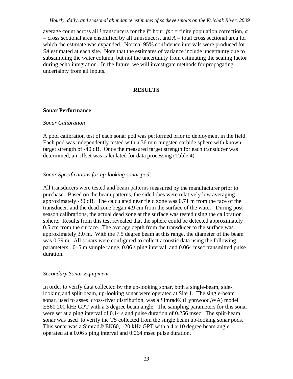<span id="page-16-0"></span>average count across all *i* transducers for the  $j<sup>th</sup>$  hour,  $fpc =$  finite population correction, *a*  $=$  cross sectional area ensonified by all transducers, and  $A =$  total cross sectional area for which the estimate was expanded. Normal 95% confidence intervals were produced for *SA* estimated at each site. Note that the estimates of variance include uncertainty due to subsampling the water column, but not the uncertainty from estimating the scaling factor during echo integration. In the future, we will investigate methods for propagating uncertainty from all inputs.

## **RESULTS**

#### **Sonar Performance**

#### *Sonar Calibration*

A pool calibration test of each sonar pod was performed prior to deployment in the field. Each pod was independently tested with a 36 mm tungsten carbide sphere with known target strength of -40 dB. Once the measured target strength for each transducer was determined, an offset was calculated for data processing (Table 4).

## Sonar Specifications for up-looking sonar pods

All transducers were tested and beam patterns measured by the manufacturer prior to purchase. Based on the beam patterns, the side lobes were relatively low averaging approximately -30 dB. The calculated near field zone was 0.71 m from the face of the transducer, and the dead zone began 4.9 cm from the surface of the water. During post season calibrations, the actual dead zone at the surface was tested using the calibration sphere. Results from this test revealed that the sphere could be detected approximately 0.5 cm from the surface. The average depth from the transducer to the surface was approximately 3.0 m. With the 7.5 degree beam at this range, the diameter of the beam was 0.39 m. All sonars were configured to collect acoustic data using the following parameters: 0–5 m sample range, 0.06 s ping interval, and 0.064 msec transmitted pulse duration.

## **Secondary Sonar Equipment**

In order to verify data collected by the up-looking sonar, both a single-beam, sidesonar, used to asses cross-river distribution, was a Simrad® (Lynnwood, WA) model ES60 200 kHz GPT with a 3 degree beam angle. The sampling parameters for this sonar looking and split-beam, up-looking sonar were operated at Site 1. The single-beam were set at a ping interval of 0.14 s and pulse duration of 0.256 msec. The split-beam sonar was used to verify the TS collected from the single beam up-looking sonar pods. This sonar was a Simrad® EK60, 120 kHz GPT with a 4 x 10 degree beam angle operated at a 0.06 s ping interval and 0.064 msec pulse duration.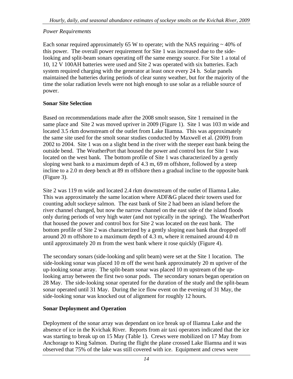#### <span id="page-17-0"></span>*Power Requirements*

Each sonar required approximately 65 W to operate; with the NAS requiring  $\sim$  40% of this power. The overall power requirement for Site 1 was increased due to the sidemaintained the batteries during periods of clear sunny weather, but for the majority of the time the solar radiation levels were not high enough to use solar as a reliable source of looking and split-beam sonars operating off the same energy source. For Site 1 a total of 10, 12 V 100AH batteries were used and Site 2 was operated with six batteries. Each system required charging with the generator at least once every 24 h. Solar panels power.

#### **Sonar Site Selection**

Based on recommendations made after the 2008 smolt season, Site 1 remained in the same place and Site 2 was moved upriver in 2009 (Figure 1). Site 1 was 103 m wide and 2002 to 2004. Site 1 was on a slight bend in the river with the steeper east bank being the incline to a 2.0 m deep bench at 89 m offshore then a gradual incline to the opposite bank located 3.5 rkm downstream of the outlet from Lake Iliamna. This was approximately the same site used for the smolt sonar studies conducted by Maxwell et al. (2009) from outside bend. The WeatherPort that housed the power and control box for Site 1 was located on the west bank. The bottom profile of Site 1 was characterized by a gently sloping west bank to a maximum depth of 4.3 m, 69 m offshore, followed by a steep (Figure 3).

Site 2 was 119 m wide and located 2.4 rkm downstream of the outlet of Iliamna Lake. This was approximately the same location where ADF&G placed their towers used for only during periods of very high water (and not typically in the spring). The WeatherPort counting adult sockeye salmon. The east bank of Site 2 had been an island before the river channel changed, but now the narrow channel on the east side of the island floods that housed the power and control box for Site 2 was located on the east bank. The bottom profile of Site 2 was characterized by a gently sloping east bank that dropped off around 20 m offshore to a maximum depth of 4.3 m, where it remained around 4.0 m until approximately 20 m from the west bank where it rose quickly (Figure 4).

The secondary sonars (side-looking and split beam) were set at the Site 1 location. The side-looking sonar was placed 10 m off the west bank approximately 20 m upriver of the 28 May. The side-looking sonar operated for the duration of the study and the split-beam up-looking sonar array. The split-beam sonar was placed 10 m upstream of the uplooking array between the first two sonar pods. The secondary sonars began operation on sonar operated until 31 May. During the ice flow event on the evening of 31 May, the side-looking sonar was knocked out of alignment for roughly 12 hours.

#### **Sonar Deployment and Operation**

Deployment of the sonar array was dependant on ice break up of Iliamna Lake and the absence of ice in the Kvichak River. Reports from air taxi operators indicated that the ice was starting to break up on 15 May (Table 1). Crews were mobilized on 17 May from Anchorage to King Salmon. During the flight the plane crossed Lake Iliamna and it was observed that 75% of the lake was still covered with ice. Equipment and crews were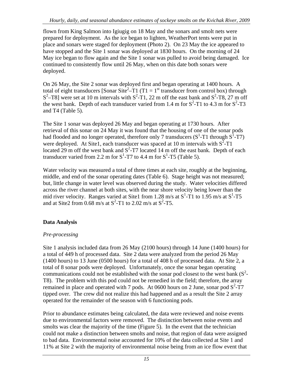<span id="page-18-0"></span>flown from King Salmon into Igiugig on 18 May and the sonars and smolt nets were prepared for deployment. As the ice began to lighten, WeatherPort tents were put in place and sonars were staged for deployment (Photo 2). On 23 May the ice appeared to have stopped and the Site 1 sonar was deployed at 1830 hours. On the morning of 24 May ice began to flow again and the Site 1 sonar was pulled to avoid being damaged. Ice continued to consistently flow until 26 May, when on this date both sonars were deployed.

On 26 May , the Site 2 sonar was deployed first and began operating at 1400 hours. A total of eight transducers [Sonar Site<sup>2</sup>-T1 (T1 = 1<sup>st</sup> transducer from control box) through  $S^2$ –T8] were set at 10 m intervals with  $S^2$ -T1, 22 m off the east bank and  $S^2$ -T8, 27 m off the west bank. Depth of each transducer varied from 1.4 m for  $S^2$ -T1 to 4.3 m for  $S^2$ -T3 and T4 (Table 5).

The Site 1 sonar was deployed 26 May and began operating at 1730 hours. After retrieval of this sonar on 24 May it was found that the housing of one of the sonar pods had flooded and no longer operated, therefore only 7 transducers  $(S^1-T1)$  through  $S^1-T7$ ) were deployed. At Site1, each transducer was spaced at 10 m intervals with  $S^2$ -T1 located 29 m off the west bank and  $S^2$ -T7 located 14 m off the east bank. Depth of each transducer varied from 2.2 m for  $S^1$ -T7 to 4.4 m for  $S^1$ -T5 (Table 5).

Water velocity was measured a total of three times at each site, roughly at the beginning, middle, and end of the sonar operating dates (Table 6). Stage height was not measured; but, little change in water level was observed during the study. Water velocities differed across the river channel at both sites, with the near shore velocity being lower than the mid river velocity. Ranges varied at Site1 from 1.28 m/s at  $S^1$ -T1 to 1.95 m/s at  $S^1$ -T5 and at Site2 from 0.68 m/s at  $S^2$ -T1 to 2.02 m/s at  $S^2$ -T5.

## **Data Analysis**

## *Pre-processing*

Site 1 analysis included data from 26 May (2100 hours) through 14 June (1400 hours) for a total of 449 h of processed data. Site 2 data were analyzed from the period 26 May T8). The problem with this pod could not be remedied in the field; therefore, the array (1400 hours) to 13 June (0500 hours) for a total of 408 h of processed data. At Site 2, a total of 8 sonar pods were deployed. Unfortunately, once the sonar began operating communications could not be established with the sonar pod closest to the west bank  $(S^2$ remained in place and operated with 7 pods. At 0600 hours on 2 June, sonar pod  $S^2$ -T7 tipped over. The crew did not realize this had happened and as a result the Site 2 array operated for the remainder of the season with 6 functioning pods.

Prior to abundance estimates being calculated, the data were reviewed and noise events due to environmental factors were removed. The distinction between noise events and could not make a distinction between smolts and noise, that region of data were assigned to bad data. Environmental noise accounted for 10% of the data collected at Site 1 and smolts was clear the majority of the time (Figure 5). In the event that the technician 11% at Site 2 with the majority of environmental noise being from an ice flow event that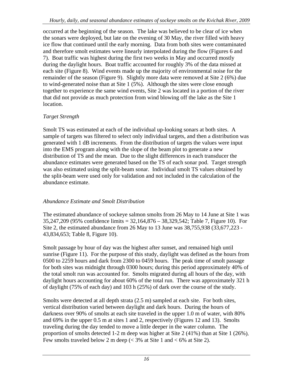<span id="page-19-0"></span>occurred at the beginning of the season. The lake was believed to be clear of ice when the sonars were deployed, but late on the evening of 30 May, the river filled with heavy ice flow that continued until the early morning. Data from both sites were contaminated and therefore smolt estimates were linearly interpolated during the flow (Figures 6 and 7). Boat traffic was highest during the first two weeks in May and occurred mostly during the daylight hours. Boat traffic accounted for roughly 3% of the data missed at each site (Figure 8). Wind events made up the majority of environmental noise for t he remainder of the season (Figure 9). Slightly more data were removed at Site 2 (6%) due to wind-generated noise than at Site 1 (5%). Although the sites were close enough together to experience the same wind events, Site 2 was located in a portion of the river that did not provide as much protection from wind blowing off the lake as the Site 1 location.

## $Target$  *Strength*

Smolt TS was estimated at each of the individual up-looking sonars at both sites. A sample of targets was filtered to select only individual targets, and then a distribution was generated with 1 dB increments. From the distribution of targets the values were input abundance estimates were generated based on the TS of each sonar pod. Target strength was also estimated using the split-beam sonar. Individual smolt TS values obtained by into the EMS program along with the slope of the beam plot to generate a new distribution of TS and the mean. Due to the slight differences in each transducer the the split-beam were used only for validation and not included in the calculation of the abundance estimate.

#### *bundance Estimate and Smolt Distribution A*

The estimated abundance of sockeye salmon smolts from 26 May to 14 June at Site 1 was 5,247,209 (95% confidence limits = 32,164,876 – 38,329,542; Table 7, Figure 10). For 3 Site 2, the estimated abundance from 26 May to 13 June was 38,755,938 (33,677,223 - 43,834,653; Table 8, Figure 10).

Smolt passage by hour of day was the highest after sunset, and remained high until sunrise (Figure 11). For the purpose of this study, daylight was defined as the hours from 0500 to 2259 hours and dark from 2300 to 0459 hours. The peak time of smolt passage for both sites was midnight through 0300 hours; during this period approximately 40% of the total smolt run was accounted for. Smolts migrated during all hours of the day, with daylight hours accounting for about 60% of the total run. There was approximately 321 h of daylight (75% of each day) and 103 h (25%) of dark over the course of the study.

vertical distribution varied between daylight and dark hours. During the hours of darkness over 90% of smolts at each site traveled in the upper 1.0 m of water, with 80% proportion of smolts detected 1-2 m deep was higher at Site 2 (41%) than at Site 1 (26%). Smolts were detected at all depth strata (2.5 m) sampled at each site. For both sites, and 69% in the upper 0.5 m at sites 1 and 2, respectively (Figures 12 and 13). Smolts traveling during the day tended to move a little deeper in the water column. The Few smolts traveled below 2 m deep  $\ll$  3% at Site 1 and  $\lt$  6% at Site 2).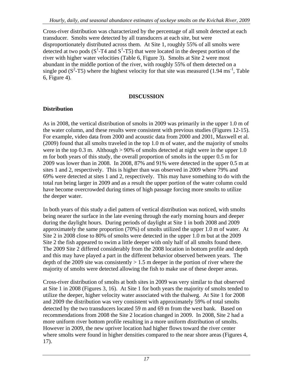<span id="page-20-0"></span>Cross-river distribution was characterized by the percentage of all smolt detected at each transducer. Smolts were detected by all transducers at each site, but were disproportionately distributed across them. At Site 1, roughly 55% of all smolts were river with higher water velocities (Table 6, Figure 3). Smolts at Site 2 were most single pod ( $S^2$ -T5) where the highest velocity for that site was measured (1.94 ms<sup>-1</sup>, Table detected at two pods  $(S^1-T4$  and  $S^1-T5)$  that were located in the deepest portion of the abundant in the middle portion of the river, with roughly 55% of them detected on a 6, Figure 4).

#### **DISCUSSION**

## **Distribution**

As in 2008, the vertical distribution of smolts in 2009 was primarily in the upper 1.0 m of the water column, and these results were consistent with previous studies (Figures 12-15). For example, video data from 2000 and acoustic data from 2000 and 2001, Maxwell et al. 69% were detected at sites 1 and 2, respectively. This may have something to do with the (2009) found that all smolts traveled in the top 1.0 m of water, and the majority of smolts were in the top 0.3 m. Although  $> 90\%$  of smolts detected at night were in the upper 1.0 m for both years of this study, the overall proportion of smolts in the upper 0.5 m for 2009 was lower than in 2008. In 2008, 87% and 91% were detected in the upper 0.5 m at sites 1 and 2, respectively. This is higher than was observed in 2009 where 79% and total run being larger in 2009 and as a result the upper portion of the water column could have become overcrowded during times of high passage forcing more smolts to utilize the deeper water.

being nearer the surface in the late evening through the early morning hours and deeper during the daylight hours. During periods of daylight at Site 1 in both 2008 and 2009 Site 2 the fish appeared to swim a little deeper with only half of all smolts found there. In both years of this study a diel pattern of vertical distribution was noticed, with smolts approximately the same proportion (70%) of smolts utilized the upper 1.0 m of water. At Site 2 in 2008 close to 80% of smolts were detected in the upper 1.0 m but at the 2009 The 2009 Site 2 differed considerably from the 2008 location in bottom profile and depth and this may have played a part in the different behavior observed between years. The depth of the 2009 site was consistently  $> 1.5$  m deeper in the portion of river where the majority of smolts were detected allowing the fish to make use of these deeper areas.

at Site 1 in 2008 (Figures 3, 16). At Site 1 for both years the majority of smolts tended to utilize the deeper, higher velocity water associated with the thalweg. At Site 1 for 2008 where smolts were found in higher densities compared to the near shore areas (Figures 4, Cross-river distribution of smolts at both sites in 2009 was very similar to that observed and 2009 the distribution was very consistent with approximately 59% of total smolts detected by the two transducers located 59 m and 69 m from the west bank. Based on recommendations from 2008 the Site 2 location changed in 2009. In 2008, Site 2 had a more uniform river bottom profile resulting in a more uniform distribution of smolts. However in 2009, the new upriver location had higher flows toward the river center 17).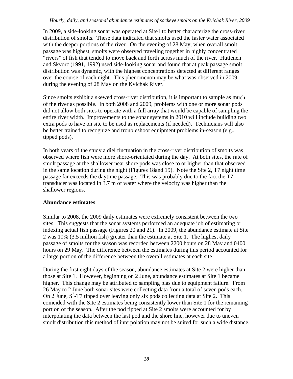<span id="page-21-0"></span>In 2009, a side-looking sonar was operated at Site1 to better characterize the cross-river distribution of smolts. These data indicated that smolts used the faster water associated with the deeper portions of the river. On the evening of 28 May, when overall smolt and Skvorc (1991, 1992) used side-looking sonar and found that at peak passage smolt passage was highest, smolts were observed traveling together in highly concentrated "rivers" of fish that tended to move back and forth across much of the river. Huttenen distribution was dynamic, with the highest concentrations detected at different ranges over the course of each night. This phenomenon may be what was observed in 2009 during the evening of 28 May on the Kvichak River.

Since smolts exhibit a skewed cross-river distribution, it is important to sample as much of the river as possible. In both 2008 and 2009, problems with one or more sonar pods did not allow both sites to operate with a full array that would be capable of sampling the entire river width. Improvements to the sonar systems in 2010 will include building two extra pods to have on site to be used as replacements (if needed). Technicians will also be better trained to recognize and troubleshoot equipment problems in-season (e.g., tipped pods).

In both years of the study a diel fluctuation in the cross-river distribution of smolts was observed where fish were more shore-orientated during the day. At both sites, the rate of smolt passage at the shallower near shore pods was close to or higher than that observed in the same location during the night (Figures 18and 19). Note the Site 2, T7 night time passage far exceeds the daytime passage. This was probably due to the fact the T7 transducer was located in 3.7 m of water where the velocity was higher than the shallower regions.

## **Abundance estimates**

Similar to 2008, the 2009 daily estimates were extremely consistent between the two sites. This suggests that the sonar systems performed an adequate job of estimating or indexing actual fish passage (Figures 20 and 21). In 2009, the abundance estimate at Site 2 was 10% (3.5 million fish) greater than the estimate at Site 1. The highest daily passage of smolts for the season was recorded between 2200 hours on 28 May and 0400 hours on 29 May. The difference between the estimates during this period accounted for a large portion of the difference between the overall estimates at each site.

those at Site 1. However, beginning on 2 June, abundance estimates at Site 1 became higher. This change may be attributed to sampling bias due to equipment failure. From interpolating the data between the last pod and the shore line, however due to uneven During the first eight days of the season, abundance estimates at Site 2 were higher than 26 May to 2 June both sonar sites were collecting data from a total of seven pods each. On 2 June,  $S^2$ -T7 tipped over leaving only six pods collecting data at Site 2. This coincided with the Site 2 estimates being consistently lower than Site 1 for the remaining portion of the season. After the pod tipped at Site 2 smolts were accounted for by smolt distribution this method of interpolation may not be suited for such a wide distance.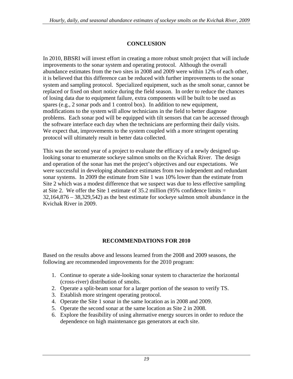## **CONCLUSION**

<span id="page-22-0"></span>In 2010, BBSRI will invest effort in creating a more robust smolt project that will include improvements to the sonar system and operating protocol. Although the overall abundance estimates from the two sites in 2008 and 2009 were within 12% of each other, it is believed that this difference can be reduced with further improvements to the sonar system and sampling protocol. Specialized equipment, such as the smolt sonar, cannot be replaced or fixed on short notice during the field season. In order to reduce the chances of losing data due to equipment failure, extra components will be built to be used as spares (e.g., 2 sonar pods and 1 control box). In addition to new equipment, modifications to the system will allow technicians in the field to better diagnose problems. Each sonar pod will be equipped with tilt sensors that can be accessed through the software interface each day when the technicians are performing their daily visits. We expect that, improvements to the system coupled with a more stringent operating protocol will ultimately result in better data collected.

This was the second year of a project to evaluate the efficacy of a newly designed uplooking sonar to enumerate sockeye salmon smolts on the Kvichak River. The design and operation of the sonar has met the project's objectives and our expectations. We were successful in developing abundance estimates from two independent and redundant sonar systems. In 2009 the estimate from Site 1 was 10% lower than the estimate from Site 2 which was a modest difference that we suspect was due to less effective sampling at Site 2. We offer the Site 1 estimate of  $35.2$  million (95% confidence limits  $=$ 32,164,876 – 38,329,542) as the best estimate for sockeye salmon smolt abundance in the Kvichak River in 2009.

#### **RECOMMENDATIONS FOR 2010**

Based on the results above and lessons learned from the 2008 and 2009 seasons, the following are recommended improvements for the 2010 program:

- 1. Continue to operate a side-looking sonar system to characterize the horizontal (cross-river) distribution of smolts.
- 2. Operate a split-beam sonar for a larger portion of the season to verify TS.
- 3. Establish more stringent operating protocol.
- 4. Operate the Site 1 sonar in the same location as in 2008 and 2009.
- 5. Operate the second sonar at the same location as Site 2 in 2008.
- 6. Explore the feasibility of using alternative energy sources in order to reduce the dependence on high maintenance gas generators at each site.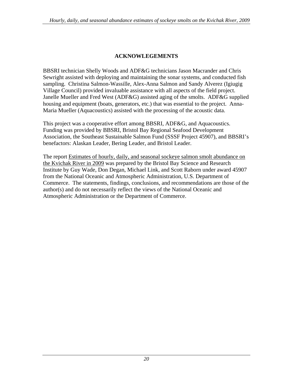## **ACKNOWLEGEMENTS**

<span id="page-23-0"></span>BBSRI technician Shelly Woods and ADF&G technicians Jason Macrander and Chris Sewright assisted with deploying and maintaining the sonar systems, and conducted fish sampling. Christina Salmon-Wassille, Alex-Anna Salmon and Sandy Alverez (Igiugig Village Council) provided invaluable assistance with all aspects of the field project. Janelle Mueller and Fred West (ADF&G) assisted aging of the smolts. ADF&G supplied housing and equipment (boats, generators, etc.) that was essential to the project. Anna-Maria Mueller (Aquacoustics) assisted with the processing of the acoustic data.

This project was a cooperative effort among BBSRI, ADF&G, and Aquacoustics. Funding was provided by BBSRI, Bristol Bay Regional Seafood Development Association, the Southeast Sustainable Salmon Fund (SSSF Project 45907), and BBSRI's benefactors: Alaskan Leader, Bering Leader, and Bristol Leader.

The report Estimates of hourly, daily, and seasonal sockeye salmon smolt abundance on the Kvichak River in 2009 was prepared by the Bristol Bay Science and Research Institute by Guy Wade, Don Degan, Michael Link, and Scott Raborn under award 45907 from the National Oceanic and Atmospheric Administration, U.S. Department of Commerce. The statements, findings, conclusions, and recommendations are those of the author(s) and do not necessarily reflect the views of the National Oceanic and Atmospheric Administration or the Department of Commerce.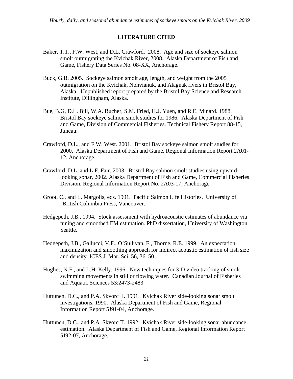#### **LITERATURE CITED**

- <span id="page-24-0"></span>Baker, T.T., F.W. West, and D.L. Crawford. 2008. Age and size of sockeye salmon smolt outmigrating the Kvichak River, 2008. Alaska Department of Fish and Game, Fishery Data Series No. 08-XX, Anchorage.
- Buck, G.B. 2005. Sockeye salmon smolt age, length, and weight from the 2005 outmigration on the Kvichak, Nonvianuk, and Alagnak rivers in Bristol Bay, Alaska. Unpublished report prepared by the Bristol Bay Science and Research Institute, Dillingham, Alaska.
- Bue, B.G, D.L. Bill, W.A. Bucher, S.M. Fried, H.J. Yuen, and R.E. Minard. 1988. Bristol Bay sockeye salmon smolt studies for 1986. Alaska Department of Fish and Game, Division of Commercial Fisheries. Technical Fishery Report 88-15, Juneau.
- Crawford, D.L., and F.W. West. 2001. Bristol Bay sockeye salmon smolt studies for 2000. Alaska Department of Fish and Game, Regional Information Report 2A01- 12, Anchorage.
- Crawford, D.L. and L.F. Fair. 2003. Bristol Bay salmon smolt studies using upwardlooking sonar, 2002. Alaska Department of Fish and Game, Commercial Fisheries Division. Regional Information Report No. 2A03-17, Anchorage.
- Groot, C., and L. Margolis, eds. 1991. Pacific Salmon Life Histories. University of British Columbia Press, Vancouver.
- Hedgepeth, J.B., 1994. Stock assessment with hydroacoustic estimates of abundance via tuning and smoothed EM estimation. PhD dissertation, University of Washington, Seattle.
- Hedgepeth, J.B., Gallucci, V.F., O'Sullivan, F., Thorne, R.E. 1999. An expectation maximization and smoothing approach for indirect acoustic estimation of fish size and density. ICES J. Mar. Sci. 56, 36–50.
- Hughes, N.F., and L.H. Kelly. 1996. New techniques for 3-D video tracking of smolt swimming movements in still or flowing water. Canadian Journal of Fisheries and Aquatic Sciences 53:2473-2483.
- Huttunen, D.C., and P.A. Skvorc II. 1991. Kvichak River side-looking sonar smolt investigations, 1990. Alaska Department of Fish and Game, Regional Information Report 5J91-04, Anchorage.
- Huttunen, D.C., and P.A. Skvorc II. 1992. Kvichak River side-looking sonar abundance estimation. Alaska Department of Fish and Game, Regional Information Report 5J92-07, Anchorage.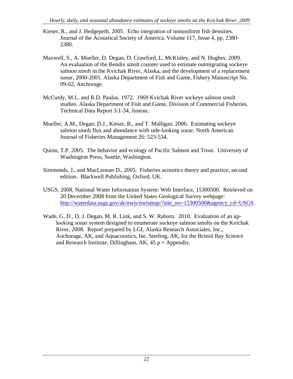- Kieser, R., and J. Hedgepeth. 2005. Echo integration of nonuniform fish densities. Journal of the Acoustical Society of America. Volume 117, Issue 4, pp. 2380- 2380.
- Maxwell, S., A. Mueller, D. Degan, D. Crawford, L. McKinley, and N. Hughes. 2009. An evaluation of the Bendix smolt counter used to estimate outmigrating sockeye salmon smolt in the Kvichak River, Alaska, and the development of a replacement sonar, 2000-2001. Alaska Department of Fish and Game, Fishery Manuscript No. 09-02, Anchorage.
- McCurdy, M.L. and R.D. Paulus. 1972. 1969 Kvichak River sockeye salmon smolt studies. Alaska Department of Fish and Game, Division of Commercial Fisheries. Technical Data Report 3:1-34, Juneau.
- Mueller, A.M., Degan, D.J., Kieser, R., and T. Mulligan. 2006. Estimating sockeye salmon smolt flux and abundance with side-looking sonar. North American Journal of Fisheries Management 26: 523-534.
- Quinn, T.P. 2005. The behavior and ecology of Pacific Salmon and Trout. University of Washington Press, Seattle, Washington.
- Simmonds, J., and MacLennan D., 2005. Fisheries acoustics theory and practice, second edition. Blackwell Publishing, Oxford, UK.
- USGS. 2008. National Water Information System: Web Interface, 15300500. Retrieved on 20 December 2008 from the United States Geological Survey webpage: [http://waterdata.usgs.gov/ak/nwis/nwismap/?site\\_no=15300500&agency\\_cd=USGS](http://waterdata.usgs.gov/ak/nwis/nwismap/?site_no=15300500&agency_cd=USGS).
- Wade, G. D., D. J. Degan, M. R. Link, and S. W. Raborn. 2010. Evaluation of an uplooking sonar system designed to enumerate sockeye salmon smolts on the Kvichak River, 2008. Report prepared by LGL Alaska Research Associates, Inc., Anchorage, AK, and Aquacoustics, Inc. Sterling, AK, for the Bristol Bay Science and Research Institute, Dillingham, AK,  $45 p +$ Appendix.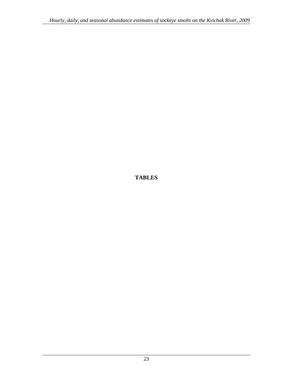<span id="page-26-0"></span>**TABLES**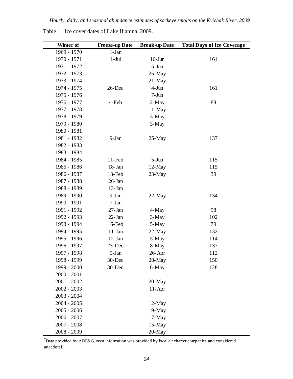| Winter of     | <b>Freeze-up Date</b> | <b>Break-up Date</b> | <b>Total Days of Ice Coverage</b> |
|---------------|-----------------------|----------------------|-----------------------------------|
| 1969 - 1970   | $1-Jan$               |                      |                                   |
| 1970 - 1971   | $1-Jul$               | $16$ -Jun            | 161                               |
| 1971 - 1972   |                       | $5-Jun$              |                                   |
| 1972 - 1973   |                       | $25-May$             |                                   |
| 1973 - 1974   |                       | $21-May$             |                                   |
| 1974 - 1975   | 26-Dec                | $4-Jun$              | 161                               |
| 1975 - 1976   |                       | $7-Jun$              |                                   |
| 1976 - 1977   | 4-Feb                 | $2-May$              | 88                                |
| 1977 - 1978   |                       | 11-May               |                                   |
| 1978 - 1979   |                       | 3-May                |                                   |
| 1979 - 1980   |                       | 3-May                |                                   |
| 1980 - 1981   |                       |                      |                                   |
| 1981 - 1982   | 9-Jan                 | $25$ -May            | 137                               |
| 1982 - 1983   |                       |                      |                                   |
| 1983 - 1984   |                       |                      |                                   |
| 1984 - 1985   | $11-Feb$              | $5-Jun$              | 115                               |
| 1985 - 1986   | 18-Jan                | 12-May               | 115                               |
| 1986 - 1987   | 13-Feb                | 23-May               | 39                                |
| 1987 - 1988   | $26$ -Jan             |                      |                                   |
| 1988 - 1989   | 13-Jan                |                      |                                   |
| 1989 - 1990   | 9-Jan                 | $22-May$             | 134                               |
| 1990 - 1991   | 7-Jan                 |                      |                                   |
| 1991 - 1992   | $27-Ian$              | 4-May                | 98                                |
| 1992 - 1993   | $22-Ian$              | $3-May$              | 102                               |
| 1993 - 1994   | 16-Feb                | 5-May                | 79                                |
| 1994 - 1995   | $11-Jan$              | $22-May$             | 132                               |
| 1995 - 1996   | $12-Jan$              | 5-May                | 114                               |
| 1996 - 1997   | 23-Dec                | 8-May                | 137                               |
| 1997 - 1998   | 5-Jan                 | $26$ -Apr            | 112                               |
| 1998 - 1999   | 30-Dec                | 28-May               | 150                               |
| 1999 - 2000   | 30-Dec                | 6-May                | 128                               |
| $2000 - 2001$ |                       |                      |                                   |
| $2001 - 2002$ |                       | 20-May               |                                   |
| $2002 - 2003$ |                       | $11-Apr$             |                                   |
| $2003 - 2004$ |                       |                      |                                   |
| $2004 - 2005$ |                       | 12-May               |                                   |
| $2005 - 2006$ |                       | 19-May               |                                   |
| $2006 - 2007$ |                       | $17-May$             |                                   |
| $2007 - 2008$ |                       | 15-May               |                                   |
| 2008 - 2009   |                       | 20-May               |                                   |

<span id="page-27-0"></span>Table 1. Ice cover dates of Lake Iliamna, 2009.

 $a^{a}$ Data provided by ADF&G, most information was provided by local air charter companies and considered anecdotal.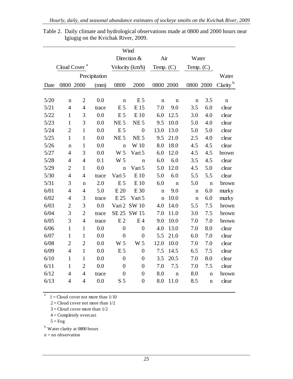| Wind   |                          |                |               |                  |                  |             |             |             |             |                      |
|--------|--------------------------|----------------|---------------|------------------|------------------|-------------|-------------|-------------|-------------|----------------------|
|        |                          |                |               |                  | Direction &      | Air         |             | Water       |             |                      |
|        | Cloud Cover <sup>a</sup> |                |               |                  | Velocity (km/h)  | Temp. $(C)$ |             | Temp. $(C)$ |             |                      |
|        |                          |                | Precipitation |                  |                  |             |             |             |             | Water                |
| Date   | 0800 2000                |                | (mm)          | 0800             | 2000             | 0800 2000   |             | 0800 2000   |             | Clarity <sup>b</sup> |
|        |                          |                |               |                  |                  |             |             |             |             |                      |
| $5/20$ | $\mathbf n$              | $\overline{2}$ | 0.0           | n                | E <sub>5</sub>   | n           | $\mathbf n$ | $\mathbf n$ | 3.5         | $\mathbf n$          |
| 5/21   | $\overline{4}$           | $\overline{4}$ | trace         | E <sub>5</sub>   | E 15             | 7.0         | 9.0         | 3.5         | 6.0         | clear                |
| $5/22$ | $\mathbf{1}$             | 3              | 0.0           | E <sub>5</sub>   | E 10             | 6.0         | 12.5        | 3.0         | 4.0         | clear                |
| 5/23   | $\mathbf{1}$             | 3              | 0.0           | NE <sub>5</sub>  | NE <sub>5</sub>  | 9.5         | 10.0        | 5.0         | 4.0         | clear                |
| 5/24   | $\overline{2}$           | $\mathbf{1}$   | 0.0           | E <sub>5</sub>   | $\boldsymbol{0}$ | 13.0        | 13.0        | 5.0         | 5.0         | clear                |
| $5/25$ | $\mathbf{1}$             | $\mathbf{1}$   | 0.0           | NE <sub>5</sub>  | NE <sub>5</sub>  | 9.5         | 21.0        | 2.5         | 4.0         | clear                |
| $5/26$ | $\mathbf n$              | $\mathbf{1}$   | 0.0           | $\mathbf n$      | W 10             | 8.0         | 18.0        | 4.5         | 4.5         | clear                |
| 5/27   | $\overline{4}$           | 3              | 0.0           | W 5              | Vari 5           | 6.0         | 12.0        | 4.5         | 4.5         | brown                |
| 5/28   | $\overline{4}$           | $\overline{4}$ | 0.1           | W 5              | $\mathbf n$      | 6.0         | 6.0         | 3.5         | 4.5         | clear                |
| 5/29   | $\overline{2}$           | $\mathbf{1}$   | 0.0           | $\mathbf n$      | Vari 5           | 5.0         | 12.0        | 4.5         | 5.0         | clear                |
| $5/30$ | $\overline{4}$           | $\overline{4}$ | trace         | Vari 5           | E 10             | 5.0         | 6.0         | 5.5         | 5.5         | clear                |
| 5/31   | 3                        | $\mathbf n$    | 2.0           | E <sub>5</sub>   | E 10             | 6.0         | $\mathbf n$ | 5.0         | $\mathbf n$ | brown                |
| 6/01   | $\overline{4}$           | $\overline{4}$ | 5.0           | E 20             | E 30             | $\mathbf n$ | 9.0         | n           | 6.0         | murky                |
| 6/02   | $\overline{4}$           | 3              | trace         | E 25             | Vari 5           | $\mathbf n$ | 10.0        | $\mathbf n$ | 6.0         | murky                |
| 6/03   | $\overline{2}$           | 3              | 0.0           | Vari 2           | <b>SW10</b>      | 4.0         | 14.0        | 5.5         | 7.5         | brown                |
| 6/04   | 3                        | $\overline{2}$ | trace         | <b>SE 25</b>     | SW 15            | 7.0         | 11.0        | 3.0         | 7.5         | brown                |
| $6/05$ | 3                        | $\overline{4}$ | trace         | E <sub>2</sub>   | E <sub>4</sub>   | 9.0         | 10.0        | 7.0         | 7.0         | brown                |
| 6/06   | $\mathbf{1}$             | $\mathbf{1}$   | 0.0           | $\overline{0}$   | $\overline{0}$   | 4.0         | 13.0        | 7.0         | 8.0         | clear                |
| 6/07   | $\mathbf{1}$             | $\mathbf{1}$   | 0.0           | $\overline{0}$   | $\overline{0}$   | 5.5         | 21.0        | 6.0         | 7.0         | clear                |
| 6/08   | $\overline{2}$           | $\overline{2}$ | 0.0           | W <sub>5</sub>   | W <sub>5</sub>   | 12.0        | 10.0        | 7.0         | 7.0         | clear                |
| 6/09   | $\overline{4}$           | $\mathbf{1}$   | 0.0           | E <sub>5</sub>   | $\boldsymbol{0}$ | 7.5         | 14.5        | 6.5         | 7.5         | clear                |
| 6/10   | $\mathbf{1}$             | $\mathbf{1}$   | 0.0           | $\overline{0}$   | $\boldsymbol{0}$ | 3.5         | 20.5        | 7.0         | 8.0         | clear                |
| 6/11   | $\mathbf{1}$             | $\overline{2}$ | 0.0           | $\overline{0}$   | $\overline{0}$   | 7.0         | 7.5         | 7.0         | 7.5         | clear                |
| 6/12   | $\overline{4}$           | $\overline{4}$ | trace         | $\boldsymbol{0}$ | $\boldsymbol{0}$ | 8.0         | $\mathbf n$ | 8.0         | $\mathbf n$ | brown                |
| 6/13   | $\overline{4}$           | $\overline{4}$ | 0.0           | S <sub>5</sub>   | $\boldsymbol{0}$ | 8.0         | 11.0        | 8.5         | $\mathbf n$ | clear                |

<span id="page-28-0"></span>Table 2. Daily climate and hydrological observations made at 0800 and 2000 hours near Igiugig on the Kvichak River, 2009.

 $a = 1 =$ Cloud cover not more than  $1/10$ 

 $2 =$ Cloud cover not more than  $1/2$ 

- $3 =$ Cloud cover more than  $1/2$
- 4 = Completely overcast
- $5 = Fog$

b Water clarity at 0800 hours

n = no observation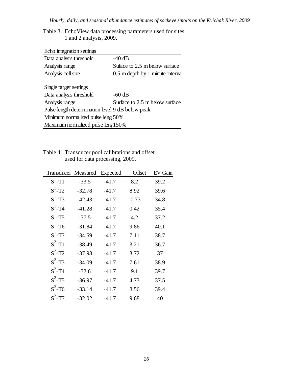| Echo integration settings                        |                                 |  |  |  |  |  |
|--------------------------------------------------|---------------------------------|--|--|--|--|--|
| Data analysis threshold                          | $-40$ dB                        |  |  |  |  |  |
| Analysis range                                   | Suface to 2.5 m below surface   |  |  |  |  |  |
| Analysis cell size                               | 0.5 m depth by 1 minute interva |  |  |  |  |  |
|                                                  |                                 |  |  |  |  |  |
| Single target settings                           |                                 |  |  |  |  |  |
| Data analysis threshold                          | $-60$ dB                        |  |  |  |  |  |
| Analysis range                                   | Surface to 2.5 m below surface  |  |  |  |  |  |
| Pulse length determination level 9 dB below peak |                                 |  |  |  |  |  |
| Minimum normalized pulse leng 50%                |                                 |  |  |  |  |  |
| Maximum normalized pulse leng 150%               |                                 |  |  |  |  |  |

<span id="page-29-0"></span>Table 3. EchoView data processing parameters used for sites 1 and 2 analysis, 2009.

Table 4. Transducer pool calibrations and offset used for data processing, 2009.

| <b>Transducer Measured</b> |          | Expected | Offset  | EV Gain |
|----------------------------|----------|----------|---------|---------|
| $S^1$ -T1                  | $-33.5$  | $-41.7$  | 8.2     | 39.2    |
| $S^1$ -T2                  | $-32.78$ | $-41.7$  | 8.92    | 39.6    |
| $S^1$ -T3                  | $-42.43$ | $-41.7$  | $-0.73$ | 34.8    |
| $S^1$ -T <sub>4</sub>      | $-41.28$ | $-41.7$  | 0.42    | 35.4    |
| $S^1$ -T5                  | $-37.5$  | $-41.7$  | 4.2     | 37.2    |
| $S^1$ -T6                  | $-31.84$ | $-41.7$  | 9.86    | 40.1    |
| $S^1$ -T7                  | $-34.59$ | $-41.7$  | 7.11    | 38.7    |
| $S^2$ -T1                  | $-38.49$ | $-41.7$  | 3.21    | 36.7    |
| $S^2$ -T <sub>2</sub>      | $-37.98$ | $-41.7$  | 3.72    | 37      |
| $S^2$ -T3                  | $-34.09$ | $-41.7$  | 7.61    | 38.9    |
| $S^2$ -T <sub>4</sub>      | $-32.6$  | $-41.7$  | 9.1     | 39.7    |
| $S^2$ -T5                  | $-36.97$ | $-41.7$  | 4.73    | 37.5    |
| $S^2$ -T6                  | $-33.14$ | $-41.7$  | 8.56    | 39.4    |
| $S^2$ -T7                  | $-32.02$ | $-41.7$  | 9.68    | 40      |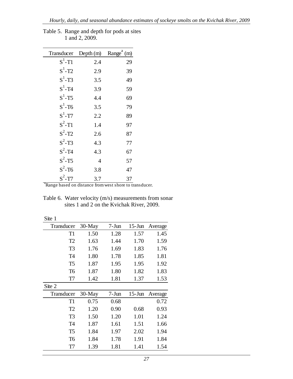| Transducer                                                          | Depth (m)      | Range <sup><math>a</math></sup> (m) |
|---------------------------------------------------------------------|----------------|-------------------------------------|
| $S^1$ -T1                                                           | 2.4            | 29                                  |
| $S^1$ -T2                                                           | 2.9            | 39                                  |
| $S^1$ -T3                                                           | 3.5            | 49                                  |
| $S^1$ -T <sub>4</sub>                                               | 3.9            | 59                                  |
| $S^1$ -T5                                                           | 4.4            | 69                                  |
| $S^1$ -T6                                                           | 3.5            | 79                                  |
| $S^1$ -T7                                                           | 2.2            | 89                                  |
| $S^2$ -T1                                                           | 1.4            | 97                                  |
| $S^2$ -T <sub>2</sub>                                               | 2.6            | 87                                  |
| $S^2$ -T3                                                           | 4.3            | 77                                  |
| $S^2$ -T <sub>4</sub>                                               | 4.3            | 67                                  |
| $S^2$ -T5                                                           | $\overline{4}$ | 57                                  |
| $S^2$ -T6                                                           | 3.8            | 47                                  |
| $S^2$ -T7                                                           | 3.7            | 37                                  |
| <sup>a</sup> Range based on distance from west shore to transducer. |                |                                     |

<span id="page-30-0"></span>Table 5. Range and depth for pods at sites 1 and 2, 2009.

Table 6. Water velocity (m/s) measurements from sonar sites 1 and 2 on the Kvichak River, 2009.

Site 1

| Transducer     | $30$ -May | $7-Jun$ | $15$ -Jun | Average |
|----------------|-----------|---------|-----------|---------|
| T1             | 1.50      | 1.28    | 1.57      | 1.45    |
| T <sub>2</sub> | 1.63      | 1.44    | 1.70      | 1.59    |
| T <sub>3</sub> | 1.76      | 1.69    | 1.83      | 1.76    |
| T <sub>4</sub> | 1.80      | 1.78    | 1.85      | 1.81    |
| T <sub>5</sub> | 1.87      | 1.95    | 1.95      | 1.92    |
| T <sub>6</sub> | 1.87      | 1.80    | 1.82      | 1.83    |
| T7             | 1.42      | 1.81    | 1.37      | 1.53    |
| Site 2         |           |         |           |         |
| Transducer     | 30-May    | $7-Jun$ | $15$ -Jun | Average |
| T1             | 0.75      | 0.68    |           | 0.72    |
| T <sub>2</sub> | 1.20      | 0.90    | 0.68      | 0.93    |
| T <sub>3</sub> | 1.50      | 1.20    | 1.01      | 1.24    |
| T <sub>4</sub> | 1.87      | 1.61    | 1.51      | 1.66    |
| T <sub>5</sub> | 1.84      | 1.97    | 2.02      | 1.94    |
| T <sub>6</sub> | 1.84      | 1.78    | 1.91      | 1.84    |
| T7             | 1.39      | 1.81    | 1.41      | 1.54    |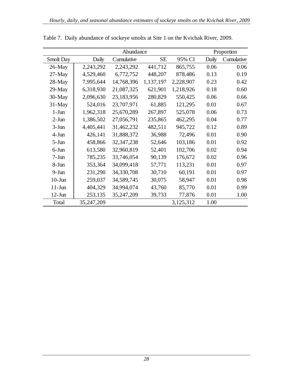| Abundance |            |              |           |           |       | Proportion |  |
|-----------|------------|--------------|-----------|-----------|-------|------------|--|
| Smolt Day | Daily      | Cumulative   | <b>SE</b> | 95% CI    | Daily | Cumulative |  |
| $26$ -May | 2,243,292  | 2,243,292    | 441,712   | 865,755   | 0.06  | 0.06       |  |
| $27$ -May | 4,529,460  | 6,772,752    | 448,207   | 878,486   | 0.13  | 0.19       |  |
| 28-May    | 7,995,644  | 14,768,396   | 1,137,197 | 2,228,907 | 0.23  | 0.42       |  |
| $29$ -May | 6,318,930  | 21,087,325   | 621,901   | 1,218,926 | 0.18  | 0.60       |  |
| 30-May    | 2,096,630  | 23,183,956   | 280,829   | 550,425   | 0.06  | 0.66       |  |
| $31$ -May | 524,016    | 23,707,971   | 61,885    | 121,295   | 0.01  | 0.67       |  |
| $1-J$ un  | 1,962,318  | 25,670,289   | 267,897   | 525,078   | 0.06  | 0.73       |  |
| $2-J$ un  | 1,386,502  | 27,056,791   | 235,865   | 462,295   | 0.04  | 0.77       |  |
| $3-Jun$   | 4,405,441  | 31,462,232   | 482,511   | 945,722   | 0.12  | 0.89       |  |
| $4-J$ un  | 426,141    | 31,888,372   | 36,988    | 72,496    | 0.01  | 0.90       |  |
| $5-Jun$   | 458,866    | 32, 347, 238 | 52,646    | 103,186   | 0.01  | 0.92       |  |
| $6$ -Jun  | 613,580    | 32,960,819   | 52,401    | 102,706   | 0.02  | 0.94       |  |
| $7-Jun$   | 785,235    | 33,746,054   | 90,139    | 176,672   | 0.02  | 0.96       |  |
| 8-Jun     | 353,364    | 34,099,418   | 57,771    | 113,231   | 0.01  | 0.97       |  |
| $9-Jun$   | 231,290    | 34,330,708   | 30,710    | 60,191    | 0.01  | 0.97       |  |
| $10$ -Jun | 259,037    | 34,589,745   | 30,075    | 58,947    | 0.01  | 0.98       |  |
| $11-J$ un | 404,329    | 34,994,074   | 43,760    | 85,770    | 0.01  | 0.99       |  |
| $12-Jun$  | 253,135    | 35,247,209   | 39,733    | 77,876    | 0.01  | 1.00       |  |
| Total     | 35,247,209 |              |           | 3,125,312 | 1.00  |            |  |

<span id="page-31-0"></span>Table 7. Daily abundance of sockeye smolts at Site 1 on the Kvichak River, 2009.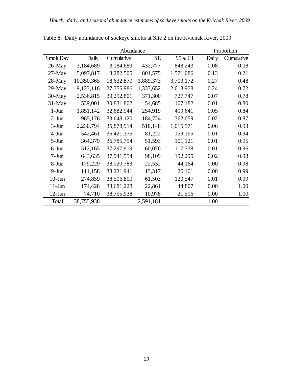|           | Abundance  |            |           |           |       | Proportion |  |
|-----------|------------|------------|-----------|-----------|-------|------------|--|
| Smolt Day | Daily      | Cumulative | <b>SE</b> | 95% CI    | Daily | Cumulative |  |
| $26$ -May | 3,184,689  | 3,184,689  | 432,777   | 848,243   | 0.08  | 0.08       |  |
| $27$ -May | 5,097,817  | 8,282,505  | 801,575   | 1,571,086 | 0.13  | 0.21       |  |
| $28$ -May | 10,350,365 | 18,632,870 | 1,889,373 | 3,703,172 | 0.27  | 0.48       |  |
| $29$ -May | 9,123,116  | 27,755,986 | 1,333,652 | 2,613,958 | 0.24  | 0.72       |  |
| $30-May$  | 2,536,815  | 30,292,801 | 371,300   | 727,747   | 0.07  | 0.78       |  |
| $31-May$  | 539,001    | 30,831,802 | 54,685    | 107,182   | 0.01  | 0.80       |  |
| $1-J$ un  | 1,851,142  | 32,682,944 | 254,919   | 499,641   | 0.05  | 0.84       |  |
| $2-Jun$   | 965,176    | 33,648,120 | 184,724   | 362,059   | 0.02  | 0.87       |  |
| $3-J$ un  | 2,230,794  | 35,878,914 | 518,148   | 1,015,571 | 0.06  | 0.93       |  |
| $4-Jun$   | 542,461    | 36,421,375 | 81,222    | 159,195   | 0.01  | 0.94       |  |
| $5-Jun$   | 364,379    | 36,785,754 | 51,593    | 101,121   | 0.01  | 0.95       |  |
| $6$ -Jun  | 512,165    | 37,297,919 | 60,070    | 117,738   | 0.01  | 0.96       |  |
| $7-Jun$   | 643,635    | 37,941,554 | 98,109    | 192,295   | 0.02  | 0.98       |  |
| 8-Jun     | 179,229    | 38,120,783 | 22,532    | 44,164    | 0.00  | 0.98       |  |
| $9-J$ un  | 111,158    | 38,231,941 | 13,317    | 26,101    | 0.00  | 0.99       |  |
| $10$ -Jun | 274,859    | 38,506,800 | 61,503    | 120,547   | 0.01  | 0.99       |  |
| $11-J$ un | 174,428    | 38,681,228 | 22,861    | 44,807    | 0.00  | 1.00       |  |
| $12$ -Jun | 74,710     | 38,755,938 | 10,978    | 21,516    | 0.00  | 1.00       |  |
| Total     | 38,755,938 |            | 2,591,181 |           | 1.00  |            |  |

<span id="page-32-0"></span>Table 8. Daily abundance of sockeye smolts at Site 2 on the Kvichak River, 2009.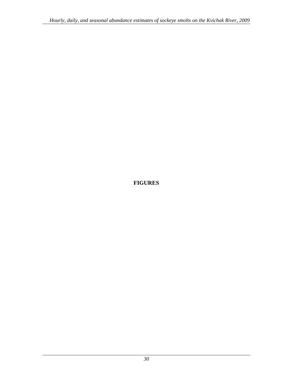<span id="page-33-0"></span>**FIGURES**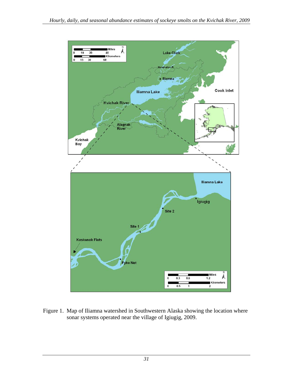<span id="page-34-0"></span>

Figure 1. Map of Iliamna watershed in Southwestern Alaska showing the location where sonar systems operated near the village of Igiugig, 2009.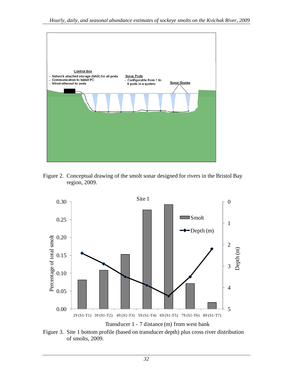<span id="page-35-0"></span>

Figure 2. Conceptual drawing of the smolt sonar designed for rivers in the Bristol Bay region, 2009.



Figure 3. Site 1 bottom profile (based on transducer depth) plus cross river distribution of smolts, 2009.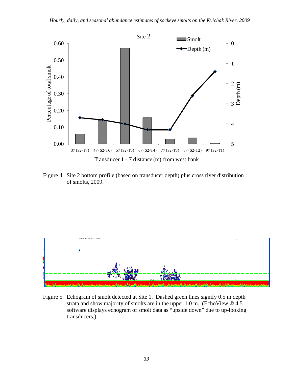<span id="page-36-0"></span>

Figure 4. Site 2 bottom profile (based on transducer depth) plus cross river distribution of smolts, 2009.



Figure 5. Echogram of smolt detected at Site 1. Dashed green lines signify 0.5 m depth strata and show majority of smolts are in the upper 1.0 m. (EchoView  $\mathcal{O}(4.5)$ ) software displays echogram of smolt data as "upside down" due to up-looking transducers.)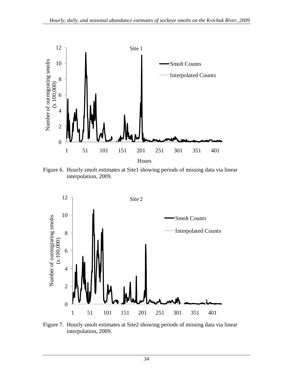<span id="page-37-0"></span>

Figure 6. Hourly smolt estimates at Site1 showing periods of missing data via linear interpolation, 2009.



Figure 7. Hourly smolt estimates at Site2 showing periods of missing data via linear interpolation, 2009.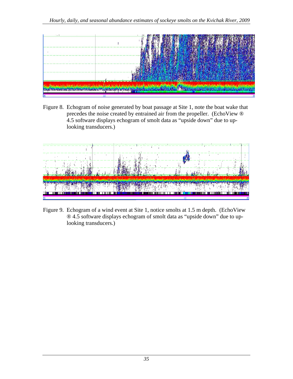<span id="page-38-0"></span>

Figure 8. Echogram of noise generated by boat passage at Site 1, note the boat wake that precedes the noise created by entrained air from the propeller. (EchoView ® 4.5 software displays echogram of smolt data as "upside down" due to uplooking transducers.)



Figure 9. Echogram of a wind event at Site 1, notice smolts at 1.5 m depth. (EchoView ® 4.5 software displays echogram of smolt data as "upside down" due to uplooking transducers.)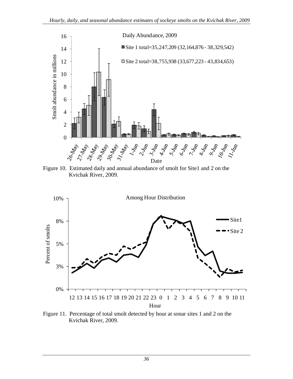<span id="page-39-0"></span>

Figure 10. Estimated daily and annual abundance of smolt for Site1 and 2 on the Kvichak River, 2009.



Figure 11. Percentage of total smolt detected by hour at sonar sites 1 and 2 on the Kvichak River, 2009.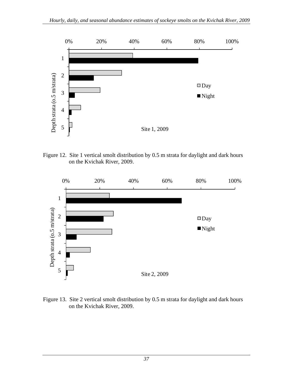<span id="page-40-0"></span>

Figure 12. Site 1 vertical smolt distribution by 0.5 m strata for daylight and dark hours on the Kvichak River, 2009.



Figure 13. Site 2 vertical smolt distribution by 0.5 m strata for daylight and dark hours on the Kvichak River, 2009.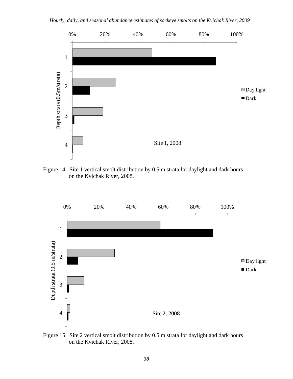<span id="page-41-0"></span>

Figure 14. Site 1 vertical smolt distribution by 0.5 m strata for daylight and dark hours on the Kvichak River, 2008.



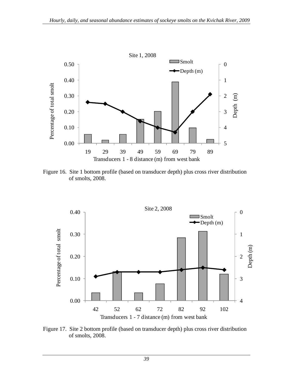<span id="page-42-0"></span>

Figure 16. Site 1 bottom profile (based on transducer depth) plus cross river distribution of smolts, 2008.



Figure 17.Site 2 bottom profile (based on transducer depth) plus cross river distribution of smolts, 2008.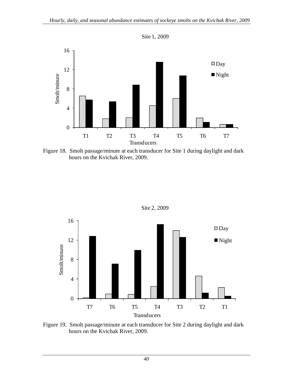Site 1, 2009

<span id="page-43-0"></span>

Figure 18. Smolt passage/minute at each transducer for Site 1 during daylight and dark hours on the Kvichak River, 2009.



Site 2, 2009

Figure 19. Smolt passage/minute at each transducer for Site 2 during daylight and dark hours on the Kvichak River, 2009.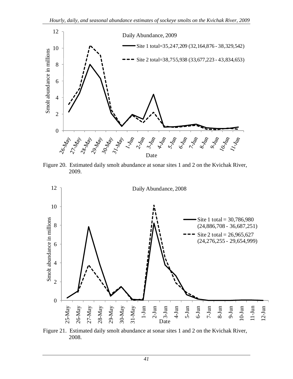<span id="page-44-0"></span>

Figure 20. Estimated daily smolt abundance at sonar sites 1 and 2 on the Kvichak River, 2009.



Figure 21. Estimated daily smolt abundance at sonar sites 1 and 2 on the Kvichak River, 2008.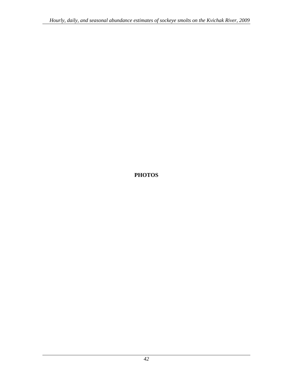<span id="page-45-0"></span>**PHOTOS**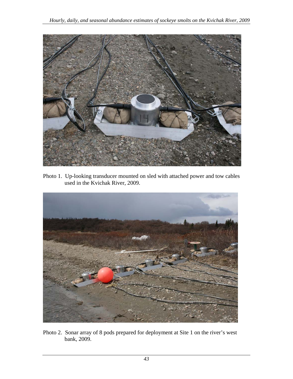<span id="page-46-0"></span>

Photo 1. Up-looking transducer mounted on sled with attached power and tow cables used in the Kvichak River, 2009.



Photo 2. Sonar array of 8 pods prepared for deployment at Site 1 on the river's west bank, 2009.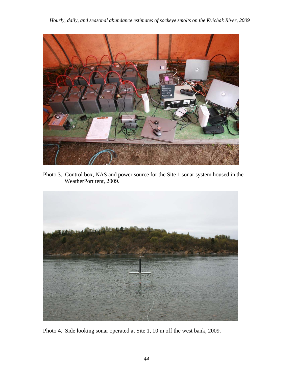<span id="page-47-0"></span>

Photo 3. Control box, NAS and power source for the Site 1 sonar system housed in the WeatherPort tent, 2009.



Photo 4. Side looking sonar operated at Site 1, 10 m off the west bank, 2009.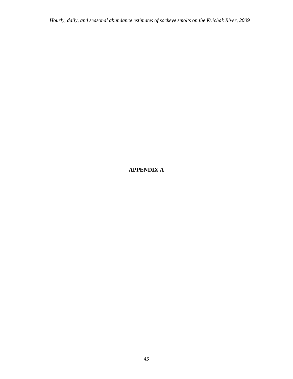## <span id="page-48-0"></span>**APPENDIX A**